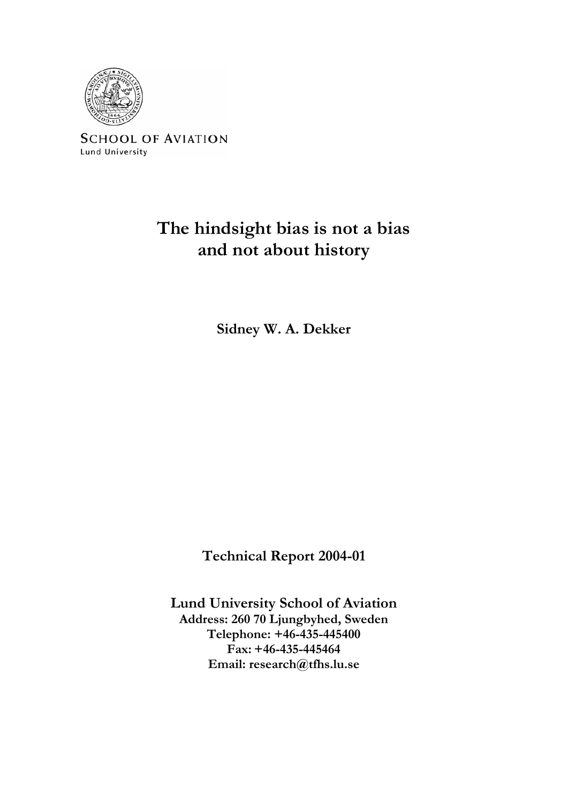

**SCHOOL OF AVIATION** Lund University

# **The hindsight bias is not a bias and not about history**

**Sidney W. A. Dekker** 

**Technical Report 2004-01** 

**Lund University School of Aviation Address: 260 70 Ljungbyhed, Sweden Telephone: +46-435-445400 Fax: +46-435-445464 Email: research@tfhs.lu.se**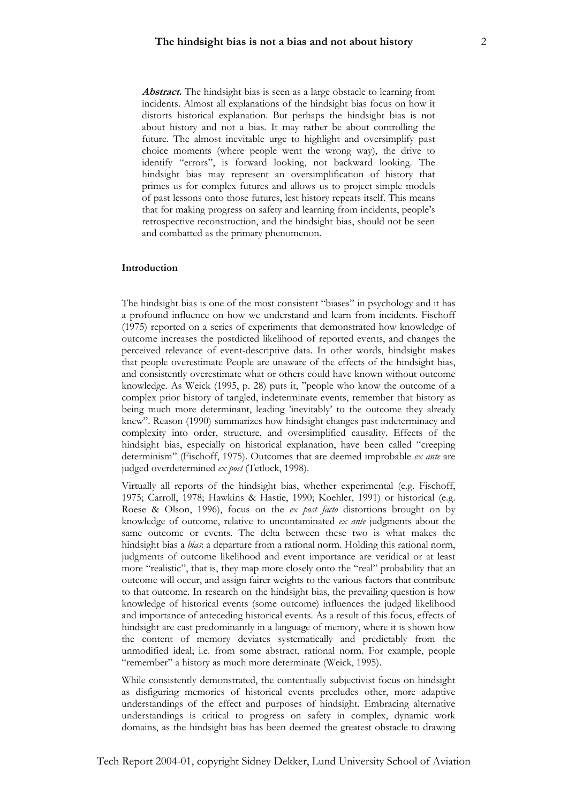Abstract. The hindsight bias is seen as a large obstacle to learning from incidents. Almost all explanations of the hindsight bias focus on how it distorts historical explanation. But perhaps the hindsight bias is not about history and not a bias. It may rather be about controlling the future. The almost inevitable urge to highlight and oversimplify past choice moments (where people went the wrong way), the drive to identify "errors", is forward looking, not backward looking. The hindsight bias may represent an oversimplification of history that primes us for complex futures and allows us to project simple models of past lessons onto those futures, lest history repeats itself. This means that for making progress on safety and learning from incidents, people's retrospective reconstruction, and the hindsight bias, should not be seen and combatted as the primary phenomenon.

## **Introduction**

The hindsight bias is one of the most consistent "biases" in psychology and it has a profound influence on how we understand and learn from incidents. Fischoff (1975) reported on a series of experiments that demonstrated how knowledge of outcome increases the postdicted likelihood of reported events, and changes the perceived relevance of event-descriptive data. In other words, hindsight makes that people overestimate People are unaware of the effects of the hindsight bias, and consistently overestimate what or others could have known without outcome knowledge. As Weick (1995, p. 28) puts it, "people who know the outcome of a complex prior history of tangled, indeterminate events, remember that history as being much more determinant, leading 'inevitably' to the outcome they already knew". Reason (1990) summarizes how hindsight changes past indeterminacy and complexity into order, structure, and oversimplified causality. Effects of the hindsight bias, especially on historical explanation, have been called "creeping determinism" (Fischoff, 1975). Outcomes that are deemed improbable *ex ante* are judged overdetermined *ex post* (Tetlock, 1998).

Virtually all reports of the hindsight bias, whether experimental (e.g. Fischoff, 1975; Carroll, 1978; Hawkins & Hastie, 1990; Koehler, 1991) or historical (e.g. Roese & Olson, 1996), focus on the *ex post facto* distortions brought on by knowledge of outcome, relative to uncontaminated *ex ante* judgments about the same outcome or events. The delta between these two is what makes the hindsight bias a *bias*: a departure from a rational norm. Holding this rational norm, judgments of outcome likelihood and event importance are veridical or at least more "realistic", that is, they map more closely onto the "real" probability that an outcome will occur, and assign fairer weights to the various factors that contribute to that outcome. In research on the hindsight bias, the prevailing question is how knowledge of historical events (some outcome) influences the judged likelihood and importance of anteceding historical events. As a result of this focus, effects of hindsight are cast predominantly in a language of memory, where it is shown how the content of memory deviates systematically and predictably from the unmodified ideal; i.e. from some abstract, rational norm. For example, people "remember" a history as much more determinate (Weick, 1995).

While consistently demonstrated, the contentually subjectivist focus on hindsight as disfiguring memories of historical events precludes other, more adaptive understandings of the effect and purposes of hindsight. Embracing alternative understandings is critical to progress on safety in complex, dynamic work domains, as the hindsight bias has been deemed the greatest obstacle to drawing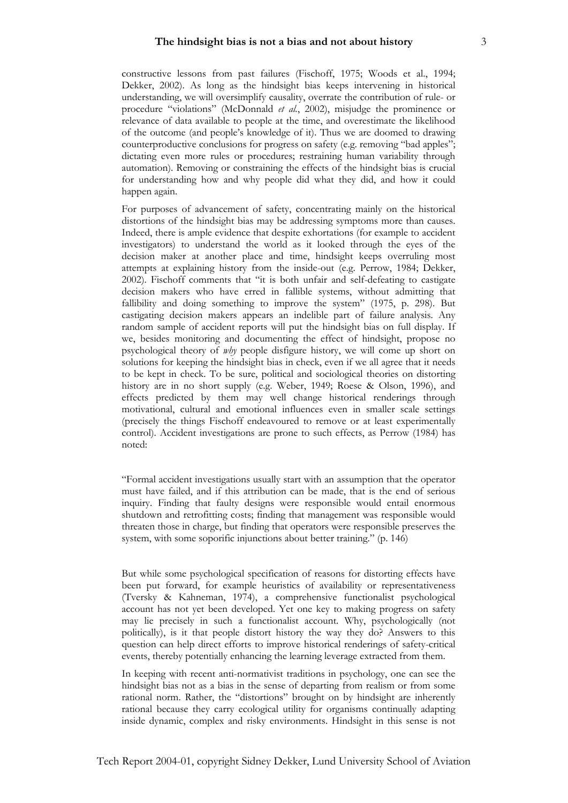constructive lessons from past failures (Fischoff, 1975; Woods et al., 1994; Dekker, 2002). As long as the hindsight bias keeps intervening in historical understanding, we will oversimplify causality, overrate the contribution of rule- or procedure "violations" (McDonnald *et al.*, 2002), misjudge the prominence or relevance of data available to people at the time, and overestimate the likelihood of the outcome (and people's knowledge of it). Thus we are doomed to drawing counterproductive conclusions for progress on safety (e.g. removing "bad apples"; dictating even more rules or procedures; restraining human variability through automation). Removing or constraining the effects of the hindsight bias is crucial for understanding how and why people did what they did, and how it could happen again.

For purposes of advancement of safety, concentrating mainly on the historical distortions of the hindsight bias may be addressing symptoms more than causes. Indeed, there is ample evidence that despite exhortations (for example to accident investigators) to understand the world as it looked through the eyes of the decision maker at another place and time, hindsight keeps overruling most attempts at explaining history from the inside-out (e.g. Perrow, 1984; Dekker, 2002). Fischoff comments that "it is both unfair and self-defeating to castigate decision makers who have erred in fallible systems, without admitting that fallibility and doing something to improve the system" (1975, p. 298). But castigating decision makers appears an indelible part of failure analysis. Any random sample of accident reports will put the hindsight bias on full display. If we, besides monitoring and documenting the effect of hindsight, propose no psychological theory of *why* people disfigure history, we will come up short on solutions for keeping the hindsight bias in check, even if we all agree that it needs to be kept in check. To be sure, political and sociological theories on distorting history are in no short supply (e.g. Weber, 1949; Roese & Olson, 1996), and effects predicted by them may well change historical renderings through motivational, cultural and emotional influences even in smaller scale settings (precisely the things Fischoff endeavoured to remove or at least experimentally control). Accident investigations are prone to such effects, as Perrow (1984) has noted:

"Formal accident investigations usually start with an assumption that the operator must have failed, and if this attribution can be made, that is the end of serious inquiry. Finding that faulty designs were responsible would entail enormous shutdown and retrofitting costs; finding that management was responsible would threaten those in charge, but finding that operators were responsible preserves the system, with some soporific injunctions about better training." (p. 146)

But while some psychological specification of reasons for distorting effects have been put forward, for example heuristics of availability or representativeness (Tversky & Kahneman, 1974), a comprehensive functionalist psychological account has not yet been developed. Yet one key to making progress on safety may lie precisely in such a functionalist account. Why, psychologically (not politically), is it that people distort history the way they do? Answers to this question can help direct efforts to improve historical renderings of safety-critical events, thereby potentially enhancing the learning leverage extracted from them.

In keeping with recent anti-normativist traditions in psychology, one can see the hindsight bias not as a bias in the sense of departing from realism or from some rational norm. Rather, the "distortions" brought on by hindsight are inherently rational because they carry ecological utility for organisms continually adapting inside dynamic, complex and risky environments. Hindsight in this sense is not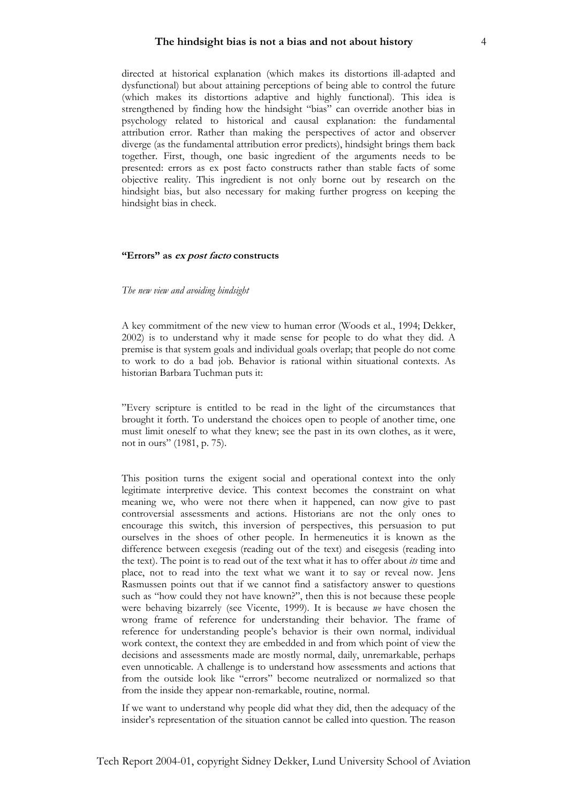directed at historical explanation (which makes its distortions ill-adapted and dysfunctional) but about attaining perceptions of being able to control the future (which makes its distortions adaptive and highly functional). This idea is strengthened by finding how the hindsight "bias" can override another bias in psychology related to historical and causal explanation: the fundamental attribution error. Rather than making the perspectives of actor and observer diverge (as the fundamental attribution error predicts), hindsight brings them back together. First, though, one basic ingredient of the arguments needs to be presented: errors as ex post facto constructs rather than stable facts of some objective reality. This ingredient is not only borne out by research on the hindsight bias, but also necessary for making further progress on keeping the hindsight bias in check.

## **"Errors" as ex post facto constructs**

## *The new view and avoiding hindsight*

A key commitment of the new view to human error (Woods et al., 1994; Dekker, 2002) is to understand why it made sense for people to do what they did. A premise is that system goals and individual goals overlap; that people do not come to work to do a bad job. Behavior is rational within situational contexts. As historian Barbara Tuchman puts it:

"Every scripture is entitled to be read in the light of the circumstances that brought it forth. To understand the choices open to people of another time, one must limit oneself to what they knew; see the past in its own clothes, as it were, not in ours" (1981, p. 75).

This position turns the exigent social and operational context into the only legitimate interpretive device. This context becomes the constraint on what meaning we, who were not there when it happened, can now give to past controversial assessments and actions. Historians are not the only ones to encourage this switch, this inversion of perspectives, this persuasion to put ourselves in the shoes of other people. In hermeneutics it is known as the difference between exegesis (reading out of the text) and eisegesis (reading into the text). The point is to read out of the text what it has to offer about *its* time and place, not to read into the text what we want it to say or reveal now. Jens Rasmussen points out that if we cannot find a satisfactory answer to questions such as "how could they not have known?", then this is not because these people were behaving bizarrely (see Vicente, 1999). It is because *we* have chosen the wrong frame of reference for understanding their behavior. The frame of reference for understanding people's behavior is their own normal, individual work context, the context they are embedded in and from which point of view the decisions and assessments made are mostly normal, daily, unremarkable, perhaps even unnoticable. A challenge is to understand how assessments and actions that from the outside look like "errors" become neutralized or normalized so that from the inside they appear non-remarkable, routine, normal.

If we want to understand why people did what they did, then the adequacy of the insider's representation of the situation cannot be called into question. The reason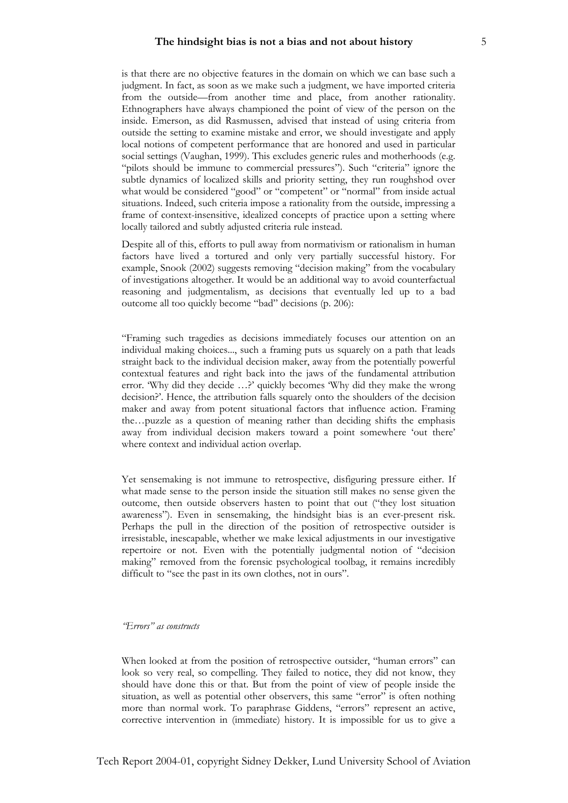is that there are no objective features in the domain on which we can base such a judgment. In fact, as soon as we make such a judgment, we have imported criteria from the outside—from another time and place, from another rationality. Ethnographers have always championed the point of view of the person on the inside. Emerson, as did Rasmussen, advised that instead of using criteria from outside the setting to examine mistake and error, we should investigate and apply local notions of competent performance that are honored and used in particular social settings (Vaughan, 1999). This excludes generic rules and motherhoods (e.g. "pilots should be immune to commercial pressures"). Such "criteria" ignore the subtle dynamics of localized skills and priority setting, they run roughshod over what would be considered "good" or "competent" or "normal" from inside actual situations. Indeed, such criteria impose a rationality from the outside, impressing a frame of context-insensitive, idealized concepts of practice upon a setting where locally tailored and subtly adjusted criteria rule instead.

Despite all of this, efforts to pull away from normativism or rationalism in human factors have lived a tortured and only very partially successful history. For example, Snook (2002) suggests removing "decision making" from the vocabulary of investigations altogether. It would be an additional way to avoid counterfactual reasoning and judgmentalism, as decisions that eventually led up to a bad outcome all too quickly become "bad" decisions (p. 206):

"Framing such tragedies as decisions immediately focuses our attention on an individual making choices..., such a framing puts us squarely on a path that leads straight back to the individual decision maker, away from the potentially powerful contextual features and right back into the jaws of the fundamental attribution error. 'Why did they decide …?' quickly becomes 'Why did they make the wrong decision?'. Hence, the attribution falls squarely onto the shoulders of the decision maker and away from potent situational factors that influence action. Framing the…puzzle as a question of meaning rather than deciding shifts the emphasis away from individual decision makers toward a point somewhere 'out there' where context and individual action overlap.

Yet sensemaking is not immune to retrospective, disfiguring pressure either. If what made sense to the person inside the situation still makes no sense given the outcome, then outside observers hasten to point that out ("they lost situation awareness"). Even in sensemaking, the hindsight bias is an ever-present risk. Perhaps the pull in the direction of the position of retrospective outsider is irresistable, inescapable, whether we make lexical adjustments in our investigative repertoire or not. Even with the potentially judgmental notion of "decision making" removed from the forensic psychological toolbag, it remains incredibly difficult to "see the past in its own clothes, not in ours".

## *"Errors" as constructs*

When looked at from the position of retrospective outsider, "human errors" can look so very real, so compelling. They failed to notice, they did not know, they should have done this or that. But from the point of view of people inside the situation, as well as potential other observers, this same "error" is often nothing more than normal work. To paraphrase Giddens, "errors" represent an active, corrective intervention in (immediate) history. It is impossible for us to give a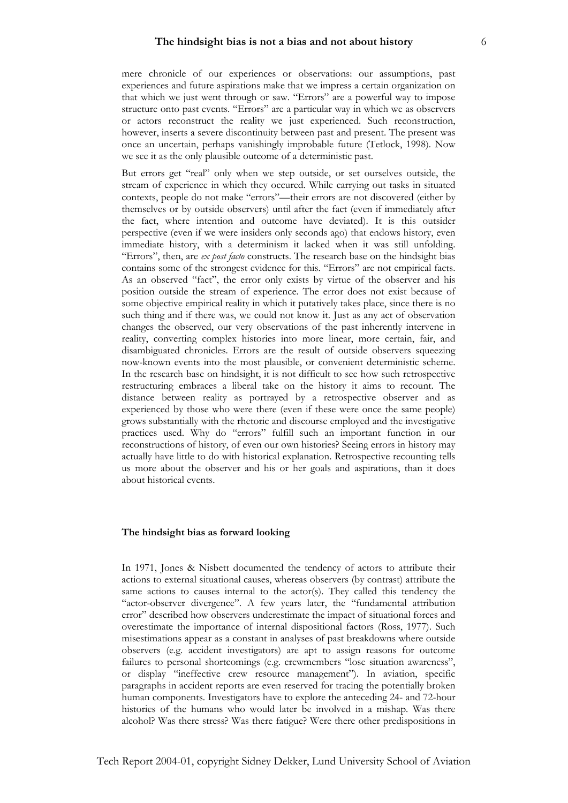mere chronicle of our experiences or observations: our assumptions, past experiences and future aspirations make that we impress a certain organization on that which we just went through or saw. "Errors" are a powerful way to impose structure onto past events. "Errors" are a particular way in which we as observers or actors reconstruct the reality we just experienced. Such reconstruction, however, inserts a severe discontinuity between past and present. The present was once an uncertain, perhaps vanishingly improbable future (Tetlock, 1998). Now we see it as the only plausible outcome of a deterministic past.

But errors get "real" only when we step outside, or set ourselves outside, the stream of experience in which they occured. While carrying out tasks in situated contexts, people do not make "errors"—their errors are not discovered (either by themselves or by outside observers) until after the fact (even if immediately after the fact, where intention and outcome have deviated). It is this outsider perspective (even if we were insiders only seconds ago) that endows history, even immediate history, with a determinism it lacked when it was still unfolding. "Errors", then, are *ex post facto* constructs. The research base on the hindsight bias contains some of the strongest evidence for this. "Errors" are not empirical facts. As an observed "fact", the error only exists by virtue of the observer and his position outside the stream of experience. The error does not exist because of some objective empirical reality in which it putatively takes place, since there is no such thing and if there was, we could not know it. Just as any act of observation changes the observed, our very observations of the past inherently intervene in reality, converting complex histories into more linear, more certain, fair, and disambiguated chronicles. Errors are the result of outside observers squeezing now-known events into the most plausible, or convenient deterministic scheme. In the research base on hindsight, it is not difficult to see how such retrospective restructuring embraces a liberal take on the history it aims to recount. The distance between reality as portrayed by a retrospective observer and as experienced by those who were there (even if these were once the same people) grows substantially with the rhetoric and discourse employed and the investigative practices used. Why do "errors" fulfill such an important function in our reconstructions of history, of even our own histories? Seeing errors in history may actually have little to do with historical explanation. Retrospective recounting tells us more about the observer and his or her goals and aspirations, than it does about historical events.

## **The hindsight bias as forward looking**

In 1971, Jones & Nisbett documented the tendency of actors to attribute their actions to external situational causes, whereas observers (by contrast) attribute the same actions to causes internal to the actor(s). They called this tendency the "actor-observer divergence". A few years later, the "fundamental attribution error" described how observers underestimate the impact of situational forces and overestimate the importance of internal dispositional factors (Ross, 1977). Such misestimations appear as a constant in analyses of past breakdowns where outside observers (e.g. accident investigators) are apt to assign reasons for outcome failures to personal shortcomings (e.g. crewmembers "lose situation awareness", or display "ineffective crew resource management"). In aviation, specific paragraphs in accident reports are even reserved for tracing the potentially broken human components. Investigators have to explore the anteceding 24- and 72-hour histories of the humans who would later be involved in a mishap. Was there alcohol? Was there stress? Was there fatigue? Were there other predispositions in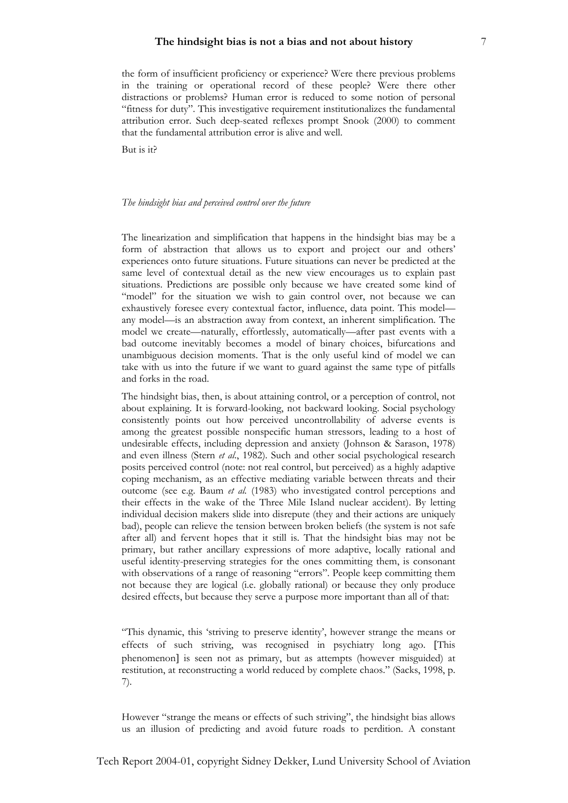the form of insufficient proficiency or experience? Were there previous problems in the training or operational record of these people? Were there other distractions or problems? Human error is reduced to some notion of personal "fitness for duty". This investigative requirement institutionalizes the fundamental attribution error. Such deep-seated reflexes prompt Snook (2000) to comment that the fundamental attribution error is alive and well.

But is it?

## *The hindsight bias and perceived control over the future*

The linearization and simplification that happens in the hindsight bias may be a form of abstraction that allows us to export and project our and others' experiences onto future situations. Future situations can never be predicted at the same level of contextual detail as the new view encourages us to explain past situations. Predictions are possible only because we have created some kind of "model" for the situation we wish to gain control over, not because we can exhaustively foresee every contextual factor, influence, data point. This model any model—is an abstraction away from context, an inherent simplification. The model we create—naturally, effortlessly, automatically—after past events with a bad outcome inevitably becomes a model of binary choices, bifurcations and unambiguous decision moments. That is the only useful kind of model we can take with us into the future if we want to guard against the same type of pitfalls and forks in the road.

The hindsight bias, then, is about attaining control, or a perception of control, not about explaining. It is forward-looking, not backward looking. Social psychology consistently points out how perceived uncontrollability of adverse events is among the greatest possible nonspecific human stressors, leading to a host of undesirable effects, including depression and anxiety (Johnson & Sarason, 1978) and even illness (Stern *et al*., 1982). Such and other social psychological research posits perceived control (note: not real control, but perceived) as a highly adaptive coping mechanism, as an effective mediating variable between threats and their outcome (see e.g. Baum *et al.* (1983) who investigated control perceptions and their effects in the wake of the Three Mile Island nuclear accident). By letting individual decision makers slide into disrepute (they and their actions are uniquely bad), people can relieve the tension between broken beliefs (the system is not safe after all) and fervent hopes that it still is. That the hindsight bias may not be primary, but rather ancillary expressions of more adaptive, locally rational and useful identity-preserving strategies for the ones committing them, is consonant with observations of a range of reasoning "errors". People keep committing them not because they are logical (i.e. globally rational) or because they only produce desired effects, but because they serve a purpose more important than all of that:

"This dynamic, this 'striving to preserve identity', however strange the means or effects of such striving, was recognised in psychiatry long ago. [This phenomenon] is seen not as primary, but as attempts (however misguided) at restitution, at reconstructing a world reduced by complete chaos." (Sacks, 1998, p. 7).

However "strange the means or effects of such striving", the hindsight bias allows us an illusion of predicting and avoid future roads to perdition. A constant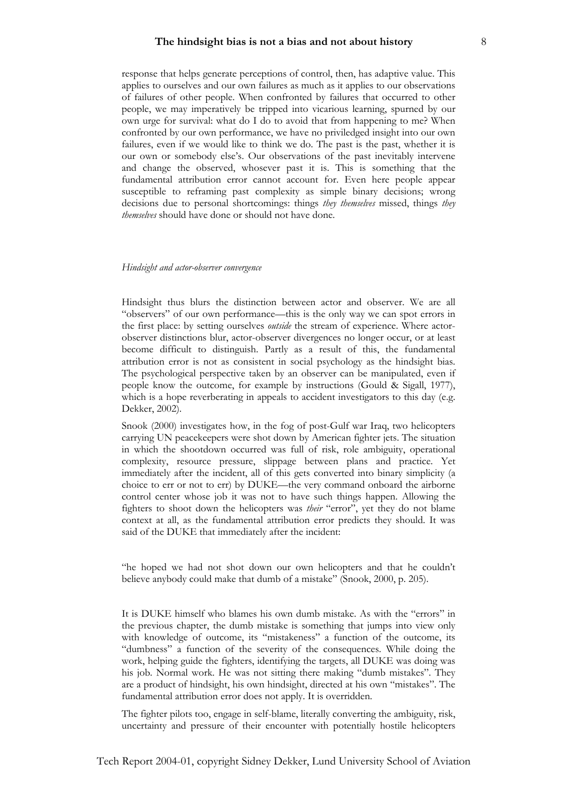response that helps generate perceptions of control, then, has adaptive value. This applies to ourselves and our own failures as much as it applies to our observations of failures of other people. When confronted by failures that occurred to other people, we may imperatively be tripped into vicarious learning, spurned by our own urge for survival: what do I do to avoid that from happening to me? When confronted by our own performance, we have no priviledged insight into our own failures, even if we would like to think we do. The past is the past, whether it is our own or somebody else's. Our observations of the past inevitably intervene and change the observed, whosever past it is. This is something that the fundamental attribution error cannot account for. Even here people appear susceptible to reframing past complexity as simple binary decisions; wrong decisions due to personal shortcomings: things *they themselves* missed, things *they themselves* should have done or should not have done.

### *Hindsight and actor-observer convergence*

Hindsight thus blurs the distinction between actor and observer. We are all "observers" of our own performance—this is the only way we can spot errors in the first place: by setting ourselves *outside* the stream of experience. Where actorobserver distinctions blur, actor-observer divergences no longer occur, or at least become difficult to distinguish. Partly as a result of this, the fundamental attribution error is not as consistent in social psychology as the hindsight bias. The psychological perspective taken by an observer can be manipulated, even if people know the outcome, for example by instructions (Gould & Sigall, 1977), which is a hope reverberating in appeals to accident investigators to this day (e.g. Dekker, 2002).

Snook (2000) investigates how, in the fog of post-Gulf war Iraq, two helicopters carrying UN peacekeepers were shot down by American fighter jets. The situation in which the shootdown occurred was full of risk, role ambiguity, operational complexity, resource pressure, slippage between plans and practice. Yet immediately after the incident, all of this gets converted into binary simplicity (a choice to err or not to err) by DUKE—the very command onboard the airborne control center whose job it was not to have such things happen. Allowing the fighters to shoot down the helicopters was *their* "error", yet they do not blame context at all, as the fundamental attribution error predicts they should. It was said of the DUKE that immediately after the incident:

"he hoped we had not shot down our own helicopters and that he couldn't believe anybody could make that dumb of a mistake" (Snook, 2000, p. 205).

It is DUKE himself who blames his own dumb mistake. As with the "errors" in the previous chapter, the dumb mistake is something that jumps into view only with knowledge of outcome, its "mistakeness" a function of the outcome, its "dumbness" a function of the severity of the consequences. While doing the work, helping guide the fighters, identifying the targets, all DUKE was doing was his job. Normal work. He was not sitting there making "dumb mistakes". They are a product of hindsight, his own hindsight, directed at his own "mistakes". The fundamental attribution error does not apply. It is overridden.

The fighter pilots too, engage in self-blame, literally converting the ambiguity, risk, uncertainty and pressure of their encounter with potentially hostile helicopters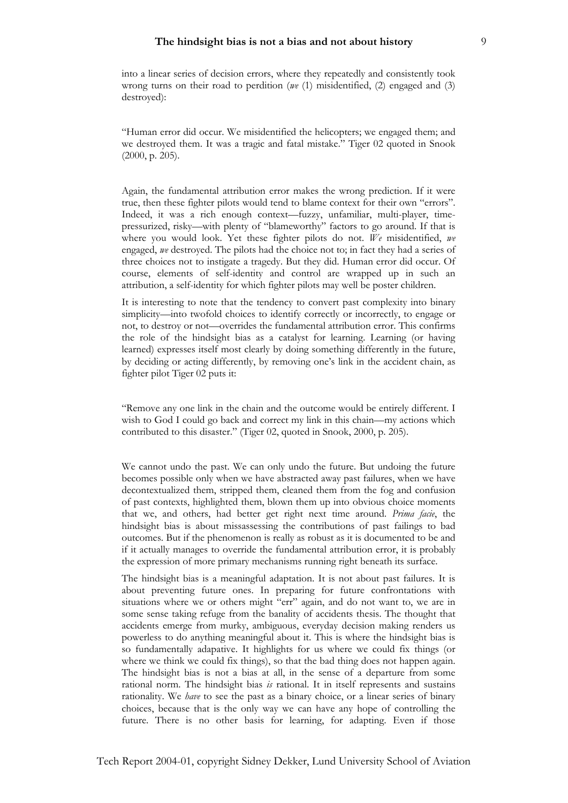into a linear series of decision errors, where they repeatedly and consistently took wrong turns on their road to perdition (*we* (1) misidentified, (2) engaged and (3) destroyed):

"Human error did occur. We misidentified the helicopters; we engaged them; and we destroyed them. It was a tragic and fatal mistake." Tiger 02 quoted in Snook (2000, p. 205).

Again, the fundamental attribution error makes the wrong prediction. If it were true, then these fighter pilots would tend to blame context for their own "errors". Indeed, it was a rich enough context—fuzzy, unfamiliar, multi-player, timepressurized, risky—with plenty of "blameworthy" factors to go around. If that is where you would look. Yet these fighter pilots do not. *We* misidentified, *we* engaged, *we* destroyed. The pilots had the choice not to; in fact they had a series of three choices not to instigate a tragedy. But they did. Human error did occur. Of course, elements of self-identity and control are wrapped up in such an attribution, a self-identity for which fighter pilots may well be poster children.

It is interesting to note that the tendency to convert past complexity into binary simplicity—into twofold choices to identify correctly or incorrectly, to engage or not, to destroy or not—overrides the fundamental attribution error. This confirms the role of the hindsight bias as a catalyst for learning. Learning (or having learned) expresses itself most clearly by doing something differently in the future, by deciding or acting differently, by removing one's link in the accident chain, as fighter pilot Tiger 02 puts it:

"Remove any one link in the chain and the outcome would be entirely different. I wish to God I could go back and correct my link in this chain—my actions which contributed to this disaster." (Tiger 02, quoted in Snook, 2000, p. 205).

We cannot undo the past. We can only undo the future. But undoing the future becomes possible only when we have abstracted away past failures, when we have decontextualized them, stripped them, cleaned them from the fog and confusion of past contexts, highlighted them, blown them up into obvious choice moments that we, and others, had better get right next time around. *Prima facie*, the hindsight bias is about missassessing the contributions of past failings to bad outcomes. But if the phenomenon is really as robust as it is documented to be and if it actually manages to override the fundamental attribution error, it is probably the expression of more primary mechanisms running right beneath its surface.

The hindsight bias is a meaningful adaptation. It is not about past failures. It is about preventing future ones. In preparing for future confrontations with situations where we or others might "err" again, and do not want to, we are in some sense taking refuge from the banality of accidents thesis. The thought that accidents emerge from murky, ambiguous, everyday decision making renders us powerless to do anything meaningful about it. This is where the hindsight bias is so fundamentally adapative. It highlights for us where we could fix things (or where we think we could fix things), so that the bad thing does not happen again. The hindsight bias is not a bias at all, in the sense of a departure from some rational norm. The hindsight bias *is* rational. It in itself represents and sustains rationality. We *have* to see the past as a binary choice, or a linear series of binary choices, because that is the only way we can have any hope of controlling the future. There is no other basis for learning, for adapting. Even if those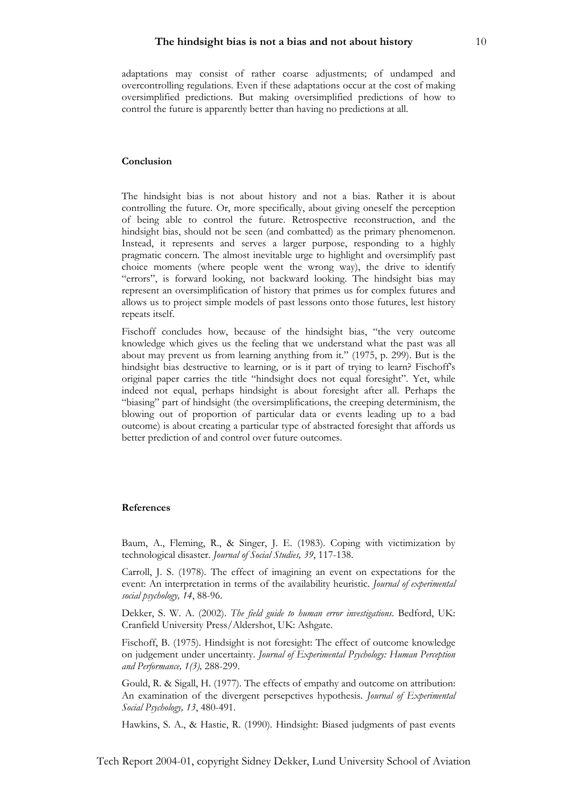adaptations may consist of rather coarse adjustments; of undamped and overcontrolling regulations. Even if these adaptations occur at the cost of making oversimplified predictions. But making oversimplified predictions of how to control the future is apparently better than having no predictions at all.

## **Conclusion**

The hindsight bias is not about history and not a bias. Rather it is about controlling the future. Or, more specifically, about giving oneself the perception of being able to control the future. Retrospective reconstruction, and the hindsight bias, should not be seen (and combatted) as the primary phenomenon. Instead, it represents and serves a larger purpose, responding to a highly pragmatic concern. The almost inevitable urge to highlight and oversimplify past choice moments (where people went the wrong way), the drive to identify "errors", is forward looking, not backward looking. The hindsight bias may represent an oversimplification of history that primes us for complex futures and allows us to project simple models of past lessons onto those futures, lest history repeats itself.

Fischoff concludes how, because of the hindsight bias, "the very outcome knowledge which gives us the feeling that we understand what the past was all about may prevent us from learning anything from it." (1975, p. 299). But is the hindsight bias destructive to learning, or is it part of trying to learn? Fischoff's original paper carries the title "hindsight does not equal foresight". Yet, while indeed not equal, perhaps hindsight is about foresight after all. Perhaps the "biasing" part of hindsight (the oversimplifications, the creeping determinism, the blowing out of proportion of particular data or events leading up to a bad outcome) is about creating a particular type of abstracted foresight that affords us better prediction of and control over future outcomes.

#### **References**

Baum, A., Fleming, R., & Singer, J. E. (1983). Coping with victimization by technological disaster. *Journal of Social Studies, 39*, 117-138.

Carroll, J. S. (1978). The effect of imagining an event on expectations for the event: An interpretation in terms of the availability heuristic. *Journal of experimental social psychology, 14*, 88-96.

Dekker, S. W. A. (2002). *The field guide to human error investigations*. Bedford, UK: Cranfield University Press/Aldershot, UK: Ashgate.

Fischoff, B. (1975). Hindsight is not foresight: The effect of outcome knowledge on judgement under uncertainty. *Journal of Experimental Psychology: Human Perception and Performance, 1(3),* 288-299.

Gould, R. & Sigall, H. (1977). The effects of empathy and outcome on attribution: An examination of the divergent persepctives hypothesis. *Journal of Experimental Social Psychology, 13*, 480-491.

Hawkins, S. A., & Hastie, R. (1990). Hindsight: Biased judgments of past events